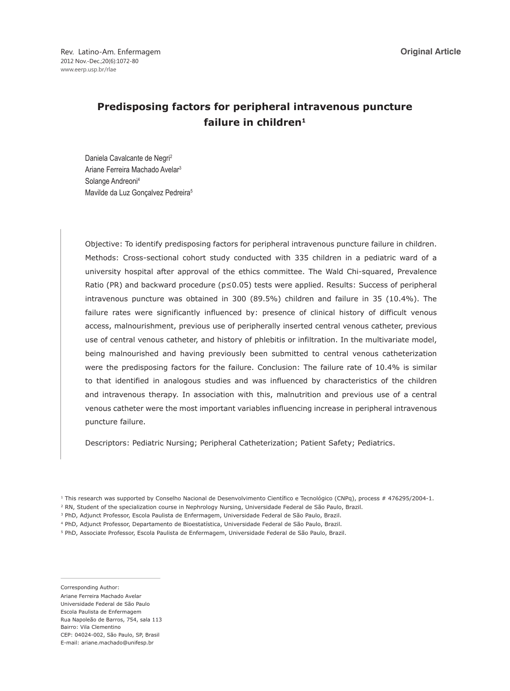# **Predisposing factors for peripheral intravenous puncture failure in children1**

Daniela Cavalcante de Negri<sup>2</sup> Ariane Ferreira Machado Avelar3 Solange Andreoni4 Mavilde da Luz Gonçalvez Pedreira<sup>5</sup>

Objective: To identify predisposing factors for peripheral intravenous puncture failure in children. Methods: Cross-sectional cohort study conducted with 335 children in a pediatric ward of a university hospital after approval of the ethics committee. The Wald Chi-squared, Prevalence Ratio (PR) and backward procedure (p≤0.05) tests were applied. Results: Success of peripheral intravenous puncture was obtained in 300 (89.5%) children and failure in 35 (10.4%). The failure rates were significantly influenced by: presence of clinical history of difficult venous access, malnourishment, previous use of peripherally inserted central venous catheter, previous use of central venous catheter, and history of phlebitis or infiltration. In the multivariate model, being malnourished and having previously been submitted to central venous catheterization were the predisposing factors for the failure. Conclusion: The failure rate of 10.4% is similar to that identified in analogous studies and was influenced by characteristics of the children and intravenous therapy. In association with this, malnutrition and previous use of a central venous catheter were the most important variables influencing increase in peripheral intravenous puncture failure.

Descriptors: Pediatric Nursing; Peripheral Catheterization; Patient Safety; Pediatrics.

Corresponding Author: Ariane Ferreira Machado Avelar Universidade Federal de São Paulo Escola Paulista de Enfermagem Rua Napoleão de Barros, 754, sala 113 Bairro: Vila Clementino CEP: 04024-002, São Paulo, SP, Brasil E-mail: ariane.machado@unifesp.br

<sup>&</sup>lt;sup>1</sup> This research was supported by Conselho Nacional de Desenvolvimento Científico e Tecnológico (CNPq), process # 476295/2004-1.

<sup>2</sup> RN, Student of the specialization course in Nephrology Nursing, Universidade Federal de São Paulo, Brazil.

<sup>3</sup> PhD, Adjunct Professor, Escola Paulista de Enfermagem, Universidade Federal de São Paulo, Brazil.

<sup>4</sup> PhD, Adjunct Professor, Departamento de Bioestatística, Universidade Federal de São Paulo, Brazil.

<sup>5</sup> PhD, Associate Professor, Escola Paulista de Enfermagem, Universidade Federal de São Paulo, Brazil.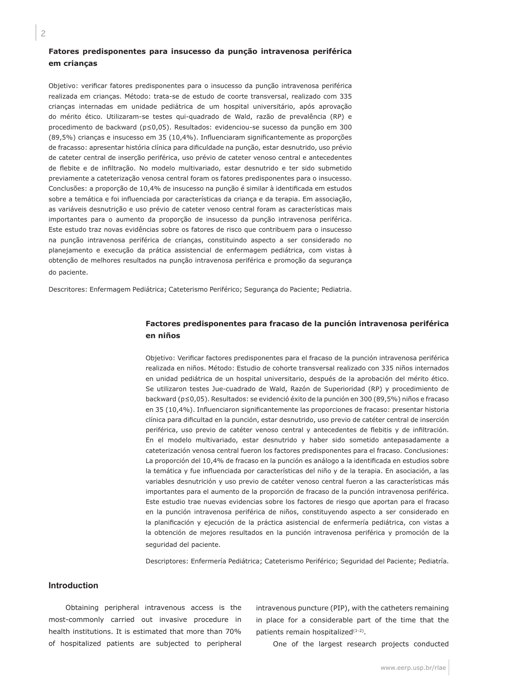# **Fatores predisponentes para insucesso da punção intravenosa periférica em crianças**

Objetivo: verificar fatores predisponentes para o insucesso da punção intravenosa periférica realizada em crianças. Método: trata-se de estudo de coorte transversal, realizado com 335 crianças internadas em unidade pediátrica de um hospital universitário, após aprovação do mérito ético. Utilizaram-se testes qui-quadrado de Wald, razão de prevalência (RP) e procedimento de backward (p≤0,05). Resultados: evidenciou-se sucesso da punção em 300 (89,5%) crianças e insucesso em 35 (10,4%). Influenciaram significantemente as proporções de fracasso: apresentar história clínica para dificuldade na punção, estar desnutrido, uso prévio de cateter central de inserção periférica, uso prévio de cateter venoso central e antecedentes de flebite e de infiltração. No modelo multivariado, estar desnutrido e ter sido submetido previamente a cateterização venosa central foram os fatores predisponentes para o insucesso. Conclusões: a proporção de 10,4% de insucesso na punção é similar à identificada em estudos sobre a temática e foi influenciada por características da criança e da terapia. Em associação, as variáveis desnutrição e uso prévio de cateter venoso central foram as características mais importantes para o aumento da proporção de insucesso da punção intravenosa periférica. Este estudo traz novas evidências sobre os fatores de risco que contribuem para o insucesso na punção intravenosa periférica de crianças, constituindo aspecto a ser considerado no planejamento e execução da prática assistencial de enfermagem pediátrica, com vistas à obtenção de melhores resultados na punção intravenosa periférica e promoção da segurança do paciente.

Descritores: Enfermagem Pediátrica; Cateterismo Periférico; Segurança do Paciente; Pediatria.

## **Factores predisponentes para fracaso de la punción intravenosa periférica en niños**

Objetivo: Verificar factores predisponentes para el fracaso de la punción intravenosa periférica realizada en niños. Método: Estudio de cohorte transversal realizado con 335 niños internados en unidad pediátrica de un hospital universitario, después de la aprobación del mérito ético. Se utilizaron testes Jue-cuadrado de Wald, Razón de Superioridad (RP) y procedimiento de backward (p≤0,05). Resultados: se evidenció éxito de la punción en 300 (89,5%) niños e fracaso en 35 (10,4%). Influenciaron significantemente las proporciones de fracaso: presentar historia clínica para dificultad en la punción, estar desnutrido, uso previo de catéter central de inserción periférica, uso previo de catéter venoso central y antecedentes de flebitis y de infiltración. En el modelo multivariado, estar desnutrido y haber sido sometido antepasadamente a cateterización venosa central fueron los factores predisponentes para el fracaso. Conclusiones: La proporción del 10,4% de fracaso en la punción es análogo a la identificada en estudios sobre la temática y fue influenciada por características del niño y de la terapia. En asociación, a las variables desnutrición y uso previo de catéter venoso central fueron a las características más importantes para el aumento de la proporción de fracaso de la punción intravenosa periférica. Este estudio trae nuevas evidencias sobre los factores de riesgo que aportan para el fracaso en la punción intravenosa periférica de niños, constituyendo aspecto a ser considerado en la planificación y ejecución de la práctica asistencial de enfermería pediátrica, con vistas a la obtención de mejores resultados en la punción intravenosa periférica y promoción de la seguridad del paciente.

Descriptores: Enfermería Pediátrica; Cateterismo Periférico; Seguridad del Paciente; Pediatría.

### **Introduction**

Obtaining peripheral intravenous access is the most-commonly carried out invasive procedure in health institutions. It is estimated that more than 70% of hospitalized patients are subjected to peripheral

intravenous puncture (PIP), with the catheters remaining in place for a considerable part of the time that the patients remain hospitalized<sup>(1-2)</sup>.

One of the largest research projects conducted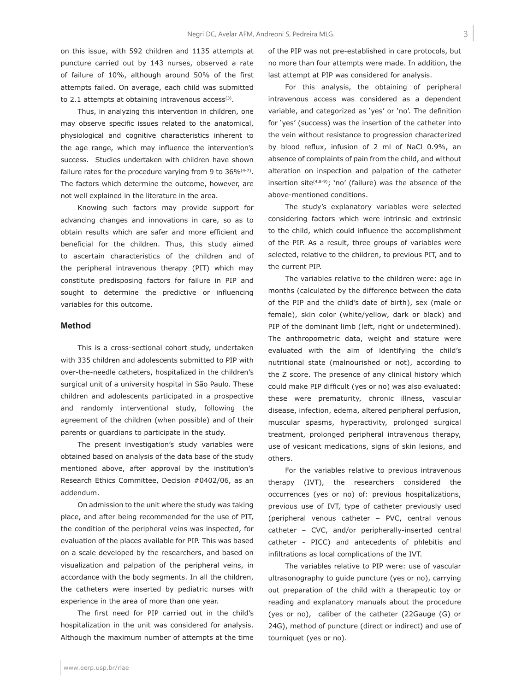on this issue, with 592 children and 1135 attempts at puncture carried out by 143 nurses, observed a rate of failure of 10%, although around 50% of the first attempts failed. On average, each child was submitted to 2.1 attempts at obtaining intravenous  $\arccos(s)$ .

Thus, in analyzing this intervention in children, one may observe specific issues related to the anatomical, physiological and cognitive characteristics inherent to the age range, which may influence the intervention's success. Studies undertaken with children have shown failure rates for the procedure varying from 9 to  $36\%^{(4-7)}$ . The factors which determine the outcome, however, are not well explained in the literature in the area.

Knowing such factors may provide support for advancing changes and innovations in care, so as to obtain results which are safer and more efficient and beneficial for the children. Thus, this study aimed to ascertain characteristics of the children and of the peripheral intravenous therapy (PIT) which may constitute predisposing factors for failure in PIP and sought to determine the predictive or influencing variables for this outcome.

# **Method**

This is a cross-sectional cohort study, undertaken with 335 children and adolescents submitted to PIP with over-the-needle catheters, hospitalized in the children's surgical unit of a university hospital in São Paulo. These children and adolescents participated in a prospective and randomly interventional study, following the agreement of the children (when possible) and of their parents or guardians to participate in the study.

The present investigation's study variables were obtained based on analysis of the data base of the study mentioned above, after approval by the institution's Research Ethics Committee, Decision #0402/06, as an addendum.

On admission to the unit where the study was taking place, and after being recommended for the use of PIT, the condition of the peripheral veins was inspected, for evaluation of the places available for PIP. This was based on a scale developed by the researchers, and based on visualization and palpation of the peripheral veins, in accordance with the body segments. In all the children, the catheters were inserted by pediatric nurses with experience in the area of more than one year.

The first need for PIP carried out in the child's hospitalization in the unit was considered for analysis. Although the maximum number of attempts at the time of the PIP was not pre-established in care protocols, but no more than four attempts were made. In addition, the last attempt at PIP was considered for analysis.

For this analysis, the obtaining of peripheral intravenous access was considered as a dependent variable, and categorized as 'yes' or 'no'. The definition for 'yes' (success) was the insertion of the catheter into the vein without resistance to progression characterized by blood reflux, infusion of 2 ml of NaCl 0.9%, an absence of complaints of pain from the child, and without alteration on inspection and palpation of the catheter insertion site $(4,8-9)$ ; 'no' (failure) was the absence of the above-mentioned conditions.

The study's explanatory variables were selected considering factors which were intrinsic and extrinsic to the child, which could influence the accomplishment of the PIP. As a result, three groups of variables were selected, relative to the children, to previous PIT, and to the current PIP.

The variables relative to the children were: age in months (calculated by the difference between the data of the PIP and the child's date of birth), sex (male or female), skin color (white/yellow, dark or black) and PIP of the dominant limb (left, right or undetermined). The anthropometric data, weight and stature were evaluated with the aim of identifying the child's nutritional state (malnourished or not), according to the Z score. The presence of any clinical history which could make PIP difficult (yes or no) was also evaluated: these were prematurity, chronic illness, vascular disease, infection, edema, altered peripheral perfusion, muscular spasms, hyperactivity, prolonged surgical treatment, prolonged peripheral intravenous therapy, use of vesicant medications, signs of skin lesions, and others.

For the variables relative to previous intravenous therapy (IVT), the researchers considered the occurrences (yes or no) of: previous hospitalizations, previous use of IVT, type of catheter previously used (peripheral venous catheter – PVC, central venous catheter – CVC, and/or peripherally-inserted central catheter - PICC) and antecedents of phlebitis and infiltrations as local complications of the IVT.

The variables relative to PIP were: use of vascular ultrasonography to guide puncture (yes or no), carrying out preparation of the child with a therapeutic toy or reading and explanatory manuals about the procedure (yes or no), caliber of the catheter (22Gauge (G) or 24G), method of puncture (direct or indirect) and use of tourniquet (yes or no).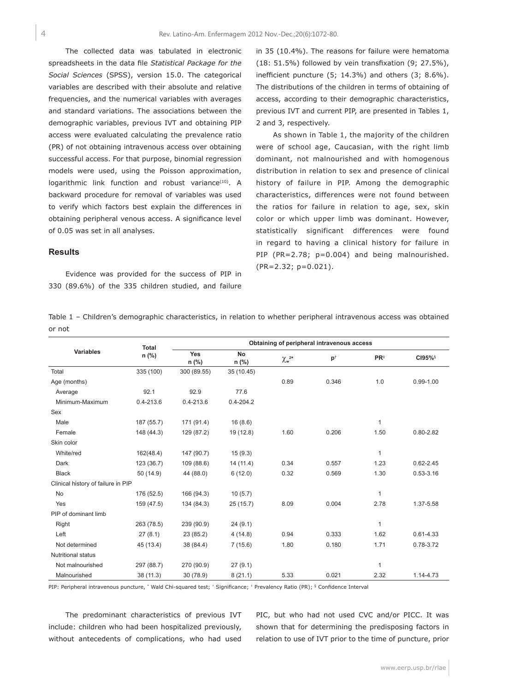4

The collected data was tabulated in electronic spreadsheets in the data file *Statistical Package for the Social Sciences* (SPSS), version 15.0. The categorical variables are described with their absolute and relative frequencies, and the numerical variables with averages and standard variations. The associations between the demographic variables, previous IVT and obtaining PIP access were evaluated calculating the prevalence ratio (PR) of not obtaining intravenous access over obtaining successful access. For that purpose, binomial regression models were used, using the Poisson approximation, logarithmic link function and robust variance<sup>(10)</sup>. A backward procedure for removal of variables was used to verify which factors best explain the differences in obtaining peripheral venous access. A significance level of 0.05 was set in all analyses.

#### **Results**

Evidence was provided for the success of PIP in 330 (89.6%) of the 335 children studied, and failure in 35 (10.4%). The reasons for failure were hematoma (18: 51.5%) followed by vein transfixation (9; 27.5%), inefficient puncture (5; 14.3%) and others (3; 8.6%). The distributions of the children in terms of obtaining of access, according to their demographic characteristics, previous IVT and current PIP, are presented in Tables 1, 2 and 3, respectively.

As shown in Table 1, the majority of the children were of school age, Caucasian, with the right limb dominant, not malnourished and with homogenous distribution in relation to sex and presence of clinical history of failure in PIP. Among the demographic characteristics, differences were not found between the ratios for failure in relation to age, sex, skin color or which upper limb was dominant. However, statistically significant differences were found in regard to having a clinical history for failure in PIP (PR=2.78; p=0.004) and being malnourished. (PR=2.32; p=0.021).

|        |  | Table 1 – Children's demographic characteristics, in relation to whether peripheral intravenous access was obtained |  |  |  |  |
|--------|--|---------------------------------------------------------------------------------------------------------------------|--|--|--|--|
| or not |  |                                                                                                                     |  |  |  |  |

| <b>Total</b>                       |               | Obtaining of peripheral intravenous access |               |                                                 |               |                 |               |  |  |
|------------------------------------|---------------|--------------------------------------------|---------------|-------------------------------------------------|---------------|-----------------|---------------|--|--|
| <b>Variables</b>                   | n (%)         | Yes<br>n (%)                               | No<br>n (%)   | $\chi_{\mathsf{w}}^{\scriptscriptstyle 2\star}$ | $p^{\dagger}$ | $PR^{\ddagger}$ | CI95%§        |  |  |
| Total                              | 335 (100)     | 300 (89.55)                                | 35 (10.45)    |                                                 |               |                 |               |  |  |
| Age (months)                       |               |                                            |               | 0.89                                            | 0.346         | 1.0             | $0.99 - 1.00$ |  |  |
| Average                            | 92.1          | 92.9                                       | 77.6          |                                                 |               |                 |               |  |  |
| Minimum-Maximum                    | $0.4 - 213.6$ | $0.4 - 213.6$                              | $0.4 - 204.2$ |                                                 |               |                 |               |  |  |
| Sex                                |               |                                            |               |                                                 |               |                 |               |  |  |
| Male                               | 187 (55.7)    | 171 (91.4)                                 | 16(8.6)       |                                                 |               | $\mathbf{1}$    |               |  |  |
| Female                             | 148 (44.3)    | 129 (87.2)                                 | 19 (12.8)     | 1.60                                            | 0.206         | 1.50            | $0.80 - 2.82$ |  |  |
| Skin color                         |               |                                            |               |                                                 |               |                 |               |  |  |
| White/red                          | 162(48.4)     | 147 (90.7)                                 | 15(9.3)       |                                                 |               | $\mathbf{1}$    |               |  |  |
| Dark                               | 123 (36.7)    | 109 (88.6)                                 | 14(11.4)      | 0.34                                            | 0.557         | 1.23            | $0.62 - 2.45$ |  |  |
| <b>Black</b>                       | 50(14.9)      | 44 (88.0)                                  | 6(12.0)       | 0.32                                            | 0.569         | 1.30            | $0.53 - 3.16$ |  |  |
| Clinical history of failure in PIP |               |                                            |               |                                                 |               |                 |               |  |  |
| No                                 | 176 (52.5)    | 166 (94.3)                                 | 10(5.7)       |                                                 |               | $\mathbf{1}$    |               |  |  |
| Yes                                | 159 (47.5)    | 134 (84.3)                                 | 25(15.7)      | 8.09                                            | 0.004         | 2.78            | 1.37-5.58     |  |  |
| PIP of dominant limb               |               |                                            |               |                                                 |               |                 |               |  |  |
| Right                              | 263 (78.5)    | 239 (90.9)                                 | 24(9.1)       |                                                 |               | $\mathbf{1}$    |               |  |  |
| Left                               | 27(8.1)       | 23 (85.2)                                  | 4(14.8)       | 0.94                                            | 0.333         | 1.62            | $0.61 - 4.33$ |  |  |
| Not determined                     | 45 (13.4)     | 38 (84.4)                                  | 7(15.6)       | 1.80                                            | 0.180         | 1.71            | 0.78-3.72     |  |  |
| <b>Nutritional status</b>          |               |                                            |               |                                                 |               |                 |               |  |  |
| Not malnourished                   | 297 (88.7)    | 270 (90.9)                                 | 27(9.1)       |                                                 |               | 1               |               |  |  |
| Malnourished                       | 38 (11.3)     | 30 (78.9)                                  | 8(21.1)       | 5.33                                            | 0.021         | 2.32            | 1.14-4.73     |  |  |

PIP: Peripheral intravenous puncture, \* Wald Chi-squared test; † Significance; \* Prevalency Ratio (PR); § Confidence Interval

The predominant characteristics of previous IVT include: children who had been hospitalized previously, without antecedents of complications, who had used

PIC, but who had not used CVC and/or PICC. It was shown that for determining the predisposing factors in relation to use of IVT prior to the time of puncture, prior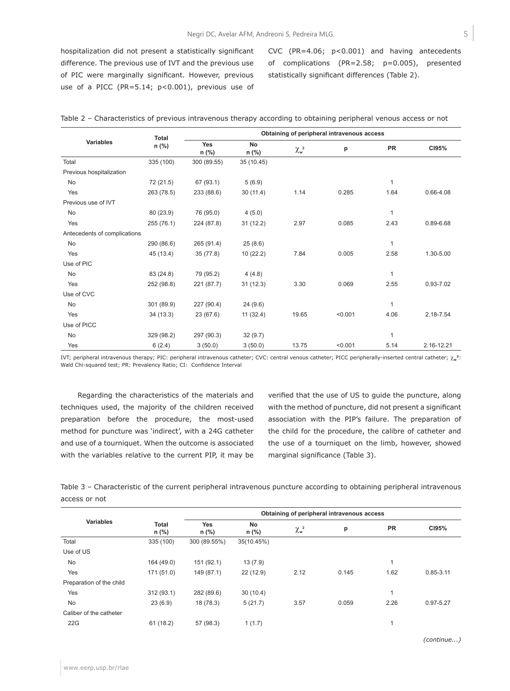hospitalization did not present a statistically significant difference. The previous use of IVT and the previous use of PIC were marginally significant. However, previous use of a PICC (PR=5.14; p<0.001), previous use of CVC (PR=4.06; p<0.001) and having antecedents of complications (PR=2.58; p=0.005), presented statistically significant differences (Table 2).

|                              | <b>Total</b> |              | Obtaining of peripheral intravenous access |                              |         |              |               |
|------------------------------|--------------|--------------|--------------------------------------------|------------------------------|---------|--------------|---------------|
| <b>Variables</b>             | $n$ (%)      | Yes<br>n (%) | <b>No</b><br>n (%)                         | $\chi_{\sf w}^{\;\;{\sf 2}}$ | p       | PR           | CI95%         |
| Total                        | 335 (100)    | 300 (89.55)  | 35 (10.45)                                 |                              |         |              |               |
| Previous hospitalization     |              |              |                                            |                              |         |              |               |
| No                           | 72 (21.5)    | 67 (93.1)    | 5(6.9)                                     |                              |         | 1            |               |
| Yes                          | 263 (78.5)   | 233 (88.6)   | 30(11.4)                                   | 1.14                         | 0.285   | 1.64         | $0.66 - 4.08$ |
| Previous use of IVT          |              |              |                                            |                              |         |              |               |
| No                           | 80 (23.9)    | 76 (95.0)    | 4(5.0)                                     |                              |         | 1            |               |
| Yes                          | 255 (76.1)   | 224 (87.8)   | 31(12.2)                                   | 2.97                         | 0.085   | 2.43         | 0.89-6.68     |
| Antecedents of complications |              |              |                                            |                              |         |              |               |
| No                           | 290 (86.6)   | 265 (91.4)   | 25(8.6)                                    |                              |         | $\mathbf{1}$ |               |
| Yes                          | 45 (13.4)    | 35(77.8)     | 10(22.2)                                   | 7.84                         | 0.005   | 2.58         | 1.30-5.00     |
| Use of PIC                   |              |              |                                            |                              |         |              |               |
| No                           | 83 (24.8)    | 79 (95.2)    | 4(4.8)                                     |                              |         | 1            |               |
| Yes                          | 252 (98.8)   | 221 (87.7)   | 31(12.3)                                   | 3.30                         | 0.069   | 2.55         | $0.93 - 7.02$ |
| Use of CVC                   |              |              |                                            |                              |         |              |               |
| <b>No</b>                    | 301 (89.9)   | 227 (90.4)   | 24(9.6)                                    |                              |         | $\mathbf{1}$ |               |
| Yes                          | 34 (13.3)    | 23(67.6)     | 11(32.4)                                   | 19.65                        | < 0.001 | 4.06         | 2.18-7.54     |
| Use of PICC                  |              |              |                                            |                              |         |              |               |
| No                           | 329 (98.2)   | 297 (90.3)   | 32(9.7)                                    |                              |         | 1            |               |
| Yes                          | 6(2.4)       | 3(50.0)      | 3(50.0)                                    | 13.75                        | < 0.001 | 5.14         | 2.16-12.21    |

|  |  |  |  |  |  |  | Table 2 - Characteristics of previous intravenous therapy according to obtaining peripheral venous access or not |
|--|--|--|--|--|--|--|------------------------------------------------------------------------------------------------------------------|
|--|--|--|--|--|--|--|------------------------------------------------------------------------------------------------------------------|

IVT; peripheral intravenous therapy; PIC: peripheral intravenous catheter; CVC: central venous catheter; PICC peripherally-inserted central catheter; χ<sub>w</sub><sup>2</sup>: Wald Chi-squared test; PR: Prevalency Ratio; CI: Confidence Interval

Regarding the characteristics of the materials and techniques used, the majority of the children received preparation before the procedure, the most-used method for puncture was 'indirect', with a 24G catheter and use of a tourniquet. When the outcome is associated with the variables relative to the current PIP, it may be verified that the use of US to guide the puncture, along with the method of puncture, did not present a significant association with the PIP's failure. The preparation of the child for the procedure, the calibre of catheter and the use of a tourniquet on the limb, however, showed marginal significance (Table 3).

Table 3 – Characteristic of the current peripheral intravenous puncture according to obtaining peripheral intravenous access or not

|                          |                         | Obtaining of peripheral intravenous access |               |                       |       |              |               |  |  |
|--------------------------|-------------------------|--------------------------------------------|---------------|-----------------------|-------|--------------|---------------|--|--|
| <b>Variables</b>         | <b>Total</b><br>$n$ (%) | <b>Yes</b><br>$n$ (%)                      | No<br>$n$ (%) | $\chi_{\mathsf{w}}^2$ | p     | <b>PR</b>    | CI95%         |  |  |
| Total                    | 335 (100)               | 300 (89.55%)                               | 35(10.45%)    |                       |       |              |               |  |  |
| Use of US                |                         |                                            |               |                       |       |              |               |  |  |
| <b>No</b>                | 164 (49.0)              | 151 (92.1)                                 | 13(7.9)       |                       |       | 1            |               |  |  |
| Yes                      | 171(51.0)               | 149 (87.1)                                 | 22 (12.9)     | 2.12                  | 0.145 | 1.62         | $0.85 - 3.11$ |  |  |
| Preparation of the child |                         |                                            |               |                       |       |              |               |  |  |
| Yes                      | 312(93.1)               | 282 (89.6)                                 | 30(10.4)      |                       |       | 1            |               |  |  |
| <b>No</b>                | 23(6.9)                 | 18 (78.3)                                  | 5(21.7)       | 3.57                  | 0.059 | 2.26         | 0.97-5.27     |  |  |
| Caliber of the catheter  |                         |                                            |               |                       |       |              |               |  |  |
| 22G                      | 61(18.2)                | 57 (98.3)                                  | 1(1.7)        |                       |       | $\mathbf{1}$ |               |  |  |

www.eerp.usp.br/rlae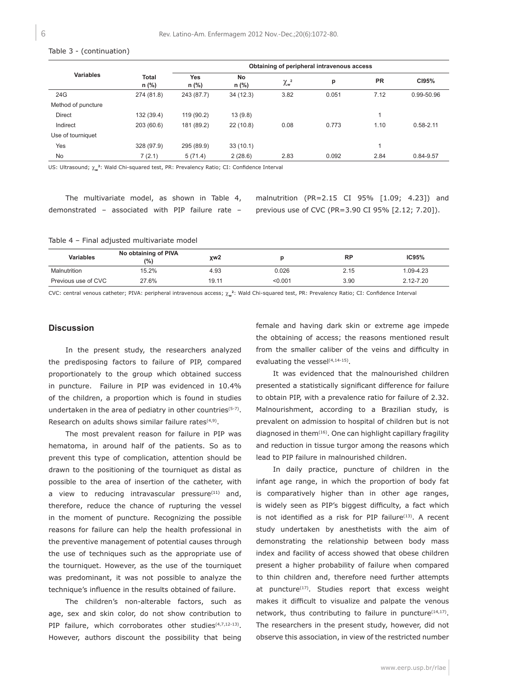#### Table 3 - (continuation)

|                    |                         | Obtaining of peripheral intravenous access |             |                       |       |           |               |  |  |  |
|--------------------|-------------------------|--------------------------------------------|-------------|-----------------------|-------|-----------|---------------|--|--|--|
| <b>Variables</b>   | <b>Total</b><br>$n$ (%) | Yes<br>$n$ (%)                             | No<br>n (%) | $\chi_{\mathsf{w}}^2$ | p     | <b>PR</b> | C195%         |  |  |  |
| 24G                | 274 (81.8)              | 243 (87.7)                                 | 34(12.3)    | 3.82                  | 0.051 | 7.12      | 0.99-50.96    |  |  |  |
| Method of puncture |                         |                                            |             |                       |       |           |               |  |  |  |
| Direct             | 132 (39.4)              | 119 (90.2)                                 | 13(9.8)     |                       |       |           |               |  |  |  |
| Indirect           | 203 (60.6)              | 181 (89.2)                                 | 22(10.8)    | 0.08                  | 0.773 | 1.10      | $0.58 - 2.11$ |  |  |  |
| Use of tourniquet  |                         |                                            |             |                       |       |           |               |  |  |  |
| Yes                | 328 (97.9)              | 295 (89.9)                                 | 33(10.1)    |                       |       |           |               |  |  |  |
| No.                | 7(2.1)                  | 5(71.4)                                    | 2(28.6)     | 2.83                  | 0.092 | 2.84      | 0.84-9.57     |  |  |  |

US: Ultrasound;  $\chi_{\mathbf{w}}^2$ : Wald Chi-squared test, PR: Prevalency Ratio; CI: Confidence Interval

|                                                   |  | The multivariate model, as shown in Table 4, |  |  |  |
|---------------------------------------------------|--|----------------------------------------------|--|--|--|
| demonstrated - associated with PIP failure rate - |  |                                              |  |  |  |

malnutrition (PR=2.15 CI 95% [1.09; 4.23]) and previous use of CVC (PR=3.90 CI 95% [2.12; 7.20]).

Table 4 – Final adjusted multivariate model

| <b>Variables</b>    | No obtaining of PIVA<br>(%) | χw <sub>2</sub> |         | <b>RP</b> | IC95%     |
|---------------------|-----------------------------|-----------------|---------|-----------|-----------|
| Malnutrition        | 15.2%                       | 4.93            | 0.026   | 2.15      | 1.09-4.23 |
| Previous use of CVC | 27.6%                       | 19.11           | < 0.001 | 3.90      | 2.12-7.20 |

CVC: central venous catheter; PIVA: peripheral intravenous access;  $\chi_{\bf w}^2$ : Wald Chi-squared test, PR: Prevalency Ratio; CI: Confidence Interval

### **Discussion**

In the present study, the researchers analyzed the predisposing factors to failure of PIP, compared proportionately to the group which obtained success in puncture. Failure in PIP was evidenced in 10.4% of the children, a proportion which is found in studies undertaken in the area of pediatry in other countries<sup>(5-7)</sup>. Research on adults shows similar failure rates(4,9).

The most prevalent reason for failure in PIP was hematoma, in around half of the patients. So as to prevent this type of complication, attention should be drawn to the positioning of the tourniquet as distal as possible to the area of insertion of the catheter, with a view to reducing intravascular pressure $(11)$  and, therefore, reduce the chance of rupturing the vessel in the moment of puncture. Recognizing the possible reasons for failure can help the health professional in the preventive management of potential causes through the use of techniques such as the appropriate use of the tourniquet. However, as the use of the tourniquet was predominant, it was not possible to analyze the technique's influence in the results obtained of failure.

The children's non-alterable factors, such as age, sex and skin color, do not show contribution to PIP failure, which corroborates other studies $(4,7,12-13)$ . However, authors discount the possibility that being

female and having dark skin or extreme age impede the obtaining of access; the reasons mentioned result from the smaller caliber of the veins and difficulty in evaluating the vessel<sup>(4,14-15)</sup>.

It was evidenced that the malnourished children presented a statistically significant difference for failure to obtain PIP, with a prevalence ratio for failure of 2.32. Malnourishment, according to a Brazilian study, is prevalent on admission to hospital of children but is not diagnosed in them $(16)$ . One can highlight capillary fragility and reduction in tissue turgor among the reasons which lead to PIP failure in malnourished children.

In daily practice, puncture of children in the infant age range, in which the proportion of body fat is comparatively higher than in other age ranges, is widely seen as PIP's biggest difficulty, a fact which is not identified as a risk for PIP failure<sup>(13)</sup>. A recent study undertaken by anesthetists with the aim of demonstrating the relationship between body mass index and facility of access showed that obese children present a higher probability of failure when compared to thin children and, therefore need further attempts at puncture $(17)$ . Studies report that excess weight makes it difficult to visualize and palpate the venous network, thus contributing to failure in puncture<sup>(14,17)</sup>. The researchers in the present study, however, did not observe this association, in view of the restricted number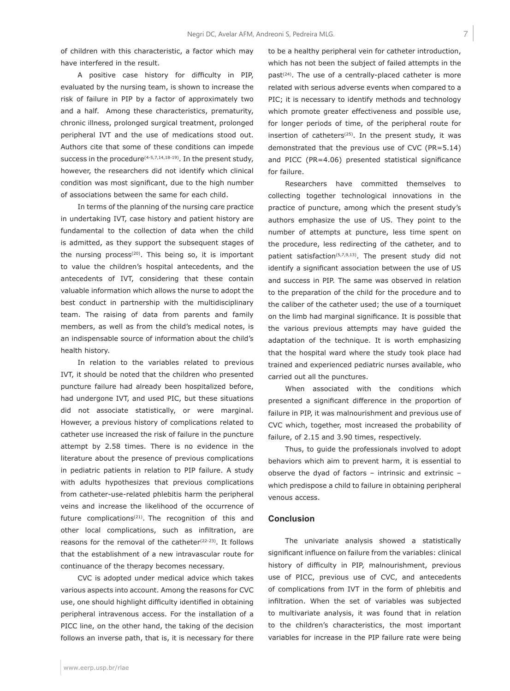of children with this characteristic, a factor which may have interfered in the result.

A positive case history for difficulty in PIP, evaluated by the nursing team, is shown to increase the risk of failure in PIP by a factor of approximately two and a half. Among these characteristics, prematurity, chronic illness, prolonged surgical treatment, prolonged peripheral IVT and the use of medications stood out. Authors cite that some of these conditions can impede success in the procedure $(4-5,7,14,18-19)$ . In the present study, however, the researchers did not identify which clinical condition was most significant, due to the high number of associations between the same for each child.

In terms of the planning of the nursing care practice in undertaking IVT, case history and patient history are fundamental to the collection of data when the child is admitted, as they support the subsequent stages of the nursing process<sup>(20)</sup>. This being so, it is important to value the children's hospital antecedents, and the antecedents of IVT, considering that these contain valuable information which allows the nurse to adopt the best conduct in partnership with the multidisciplinary team. The raising of data from parents and family members, as well as from the child's medical notes, is an indispensable source of information about the child's health history.

In relation to the variables related to previous IVT, it should be noted that the children who presented puncture failure had already been hospitalized before, had undergone IVT, and used PIC, but these situations did not associate statistically, or were marginal. However, a previous history of complications related to catheter use increased the risk of failure in the puncture attempt by 2.58 times. There is no evidence in the literature about the presence of previous complications in pediatric patients in relation to PIP failure. A study with adults hypothesizes that previous complications from catheter-use-related phlebitis harm the peripheral veins and increase the likelihood of the occurrence of future complications<sup>(21)</sup>. The recognition of this and other local complications, such as infiltration, are reasons for the removal of the catheter<sup> $(22-23)$ </sup>. It follows that the establishment of a new intravascular route for continuance of the therapy becomes necessary.

CVC is adopted under medical advice which takes various aspects into account. Among the reasons for CVC use, one should highlight difficulty identified in obtaining peripheral intravenous access. For the installation of a PICC line, on the other hand, the taking of the decision follows an inverse path, that is, it is necessary for there

past<sup> $(24)$ </sup>. The use of a centrally-placed catheter is more related with serious adverse events when compared to a PIC; it is necessary to identify methods and technology which promote greater effectiveness and possible use, for longer periods of time, of the peripheral route for insertion of catheters<sup> $(25)$ </sup>. In the present study, it was demonstrated that the previous use of CVC (PR=5.14) and PICC (PR=4.06) presented statistical significance for failure. Researchers have committed themselves to

to be a healthy peripheral vein for catheter introduction, which has not been the subject of failed attempts in the

collecting together technological innovations in the practice of puncture, among which the present study's authors emphasize the use of US. They point to the number of attempts at puncture, less time spent on the procedure, less redirecting of the catheter, and to patient satisfaction<sup>(5,7,9,13)</sup>. The present study did not identify a significant association between the use of US and success in PIP. The same was observed in relation to the preparation of the child for the procedure and to the caliber of the catheter used; the use of a tourniquet on the limb had marginal significance. It is possible that the various previous attempts may have guided the adaptation of the technique. It is worth emphasizing that the hospital ward where the study took place had trained and experienced pediatric nurses available, who carried out all the punctures.

When associated with the conditions which presented a significant difference in the proportion of failure in PIP, it was malnourishment and previous use of CVC which, together, most increased the probability of failure, of 2.15 and 3.90 times, respectively.

Thus, to guide the professionals involved to adopt behaviors which aim to prevent harm, it is essential to observe the dyad of factors – intrinsic and extrinsic – which predispose a child to failure in obtaining peripheral venous access.

#### **Conclusion**

The univariate analysis showed a statistically significant influence on failure from the variables: clinical history of difficulty in PIP, malnourishment, previous use of PICC, previous use of CVC, and antecedents of complications from IVT in the form of phlebitis and infiltration. When the set of variables was subjected to multivariate analysis, it was found that in relation to the children's characteristics, the most important variables for increase in the PIP failure rate were being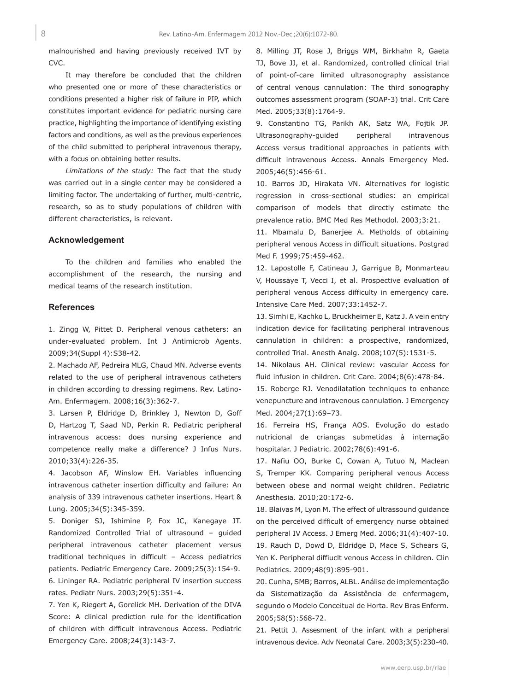malnourished and having previously received IVT by CVC.

It may therefore be concluded that the children who presented one or more of these characteristics or conditions presented a higher risk of failure in PIP, which constitutes important evidence for pediatric nursing care practice, highlighting the importance of identifying existing factors and conditions, as well as the previous experiences of the child submitted to peripheral intravenous therapy, with a focus on obtaining better results.

*Limitations of the study:* The fact that the study was carried out in a single center may be considered a limiting factor. The undertaking of further, multi-centric, research, so as to study populations of children with different characteristics, is relevant.

#### **Acknowledgement**

To the children and families who enabled the accomplishment of the research, the nursing and medical teams of the research institution.

### **References**

1. Zingg W, Pittet D. Peripheral venous catheters: an under-evaluated problem. Int J Antimicrob Agents. 2009;34(Suppl 4):S38-42.

2. Machado AF, Pedreira MLG, Chaud MN. Adverse events related to the use of peripheral intravenous catheters in children according to dressing regimens. Rev. Latino-Am. Enfermagem. 2008;16(3):362-7.

3. Larsen P, Eldridge D, Brinkley J, Newton D, Goff D, Hartzog T, Saad ND, Perkin R. Pediatric peripheral intravenous access: does nursing experience and competence really make a difference? J Infus Nurs. 2010;33(4):226-35.

4. Jacobson AF, Winslow EH. Variables influencing intravenous catheter insertion difficulty and failure: An analysis of 339 intravenous catheter insertions. Heart & Lung. 2005;34(5):345-359.

5. Doniger SJ, Ishimine P, Fox JC, Kanegaye JT. Randomized Controlled Trial of ultrasound – guided peripheral intravenous catheter placement versus traditional techniques in difficult – Access pediatrics patients. Pediatric Emergency Care. 2009;25(3):154-9. 6. Lininger RA. Pediatric peripheral IV insertion success rates. Pediatr Nurs. 2003;29(5):351-4.

7. Yen K, Riegert A, Gorelick MH. Derivation of the DIVA Score: A clinical prediction rule for the identification of children with difficult intravenous Access. Pediatric Emergency Care. 2008;24(3):143-7.

8. Milling JT, Rose J, Briggs WM, Birkhahn R, Gaeta TJ, Bove JJ, et al. Randomized, controlled clinical trial of point-of-care limited ultrasonography assistance of central venous cannulation: The third sonography outcomes assessment program (SOAP-3) trial. Crit Care Med. 2005;33(8):1764-9.

9. Constantino TG, Parikh AK, Satz WA, Fojtik JP. Ultrasonography-guided peripheral intravenous Access versus traditional approaches in patients with difficult intravenous Access. Annals Emergency Med. 2005;46(5):456-61.

10. Barros JD, Hirakata VN. Alternatives for logistic regression in cross-sectional studies: an empirical comparison of models that directly estimate the prevalence ratio. BMC Med Res Methodol. 2003;3:21.

11. Mbamalu D, Banerjee A. Metholds of obtaining peripheral venous Access in difficult situations. Postgrad Med F. 1999;75:459-462.

12. Lapostolle F, Catineau J, Garrigue B, Monmarteau V, Houssaye T, Vecci I, et al. Prospective evaluation of peripheral venous Access difficulty in emergency care. Intensive Care Med. 2007;33:1452-7.

13. Simhi E, Kachko L, Bruckheimer E, Katz J. A vein entry indication device for facilitating peripheral intravenous cannulation in children: a prospective, randomized, controlled Trial. Anesth Analg. 2008;107(5):1531-5.

14. Nikolaus AH. Clinical review: vascular Access for fluid infusion in children. Crit Care. 2004;8(6):478-84.

15. Roberge RJ. Venodilatation techniques to enhance venepuncture and intravenous cannulation. J Emergency Med. 2004;27(1):69–73.

16. Ferreira HS, França AOS. Evolução do estado nutricional de crianças submetidas à internação hospitalar. J Pediatric. 2002;78(6):491-6.

17. Nafiu OO, Burke C, Cowan A, Tutuo N, Maclean S, Tremper KK. Comparing peripheral venous Access between obese and normal weight children. Pediatric Anesthesia. 2010;20:172-6.

18. Blaivas M, Lyon M. The effect of ultrassound guidance on the perceived difficult of emergency nurse obtained peripheral IV Access. J Emerg Med. 2006;31(4):407-10. 19. Rauch D, Dowd D, Eldridge D, Mace S, Schears G, Yen K. Peripheral diffiuclt venous Access in children. Clin Pediatrics. 2009;48(9):895-901.

20. Cunha, SMB; Barros, ALBL. Análise de implementação da Sistematização da Assistência de enfermagem, segundo o Modelo Conceitual de Horta. Rev Bras Enferm. 2005;58(5):568-72.

21. Pettit J. Assesment of the infant with a peripheral intravenous device. Adv Neonatal Care. 2003;3(5):230-40.